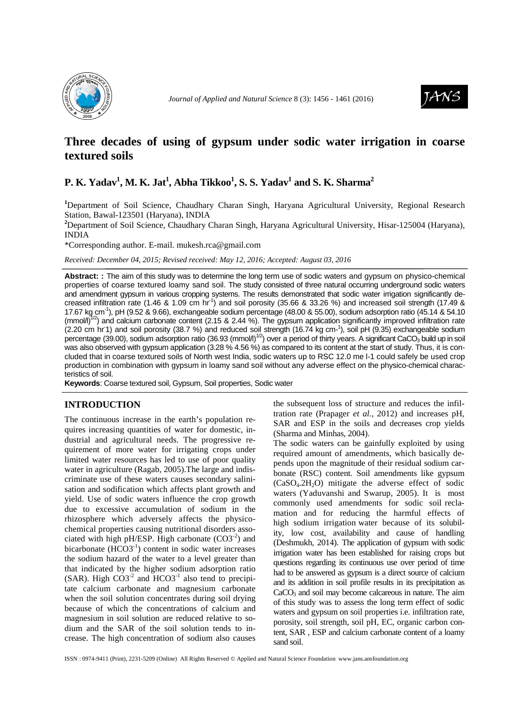

*Journal of Applied and Natural Science 8 (3):* 1456 - 1461 (2016)



# **Three decades of using of gypsum under sodic water irrigation in coarse textured soils**

# **P. K. Yadav<sup>1</sup> , M. K. Jat<sup>1</sup> , Abha Tikkoo<sup>1</sup> , S. S. Yadav<sup>1</sup> and S. K. Sharma<sup>2</sup>**

**<sup>1</sup>**Department of Soil Science, Chaudhary Charan Singh, Haryana Agricultural University, Regional Research Station, Bawal-123501 (Haryana), INDIA

**<sup>2</sup>**Department of Soil Science, Chaudhary Charan Singh, Haryana Agricultural University, Hisar-125004 (Haryana), INDIA

\*Corresponding author. E-mail. mukesh.rca@gmail.com

*Received: December 04, 2015; Revised received: May 12, 2016; Accepted: August 03, 2016*

**Abstract: :** The aim of this study was to determine the long term use of sodic waters and gypsum on physico-chemical properties of coarse textured loamy sand soil. The study consisted of three natural occurring underground sodic waters and amendment gypsum in various cropping systems. The results demonstrated that sodic water irrigation significantly decreased infiltration rate (1.46 & 1.09 cm hr<sup>-1</sup>) and soil porosity (35.66 & 33.26 %) and increased soil strength (17.49 & 17.67 kg cm<sup>-1</sup>), pH (9.52 & 9.66), exchangeable sodium percentage (48.00 & 55.00), sodium adsorption ratio (45.14 & 54.10  $(mmol/l)^{1/2}$ ) and calcium carbonate content (2.15 & 2.44 %). The gypsum application significantly improved infiltration rate (2.20 cm hr 1) and soil porosity (38.7 %) and reduced soil strength (16.74 kg cm-1), soil pH (9.35) exchangeable sodium percentage (39.00), sodium adsorption ratio (36.93  $\text{(mmol/l)}^{1/2}$ ) over a period of thirty years. A significant CaCO<sub>3</sub> build up in soil was also observed with gypsum application (3.28 % 4.56 %) as compared to its content at the start of study. Thus, it is concluded that in coarse textured soils of North west India, sodic waters up to RSC 12.0 me l-1 could safely be used crop production in combination with gypsum in loamy sand soil without any adverse effect on the physico-chemical characteristics of soil.

**Keywords**: Coarse textured soil, Gypsum, Soil properties, Sodic water

### **INTRODUCTION**

The continuous increase in the earth's population requires increasing quantities of water for domestic, industrial and agricultural needs. The progressive requirement of more water for irrigating crops under limited water resources has led to use of poor quality water in agriculture (Ragab, 2005).The large and indiscriminate use of these waters causes secondary salinisation and sodification which affects plant growth and yield. Use of sodic waters influence the crop growth due to excessive accumulation of sodium in the rhizosphere which adversely affects the physicochemical properties causing nutritional disorders associated with high pH/ESP. High carbonate  $(CO3^{-2})$  and bicarbonate  $(HCO3^{-1})$  content in sodic water increases the sodium hazard of the water to a level greater than that indicated by the higher sodium adsorption ratio (SAR). High  $CO3^{-2}$  and  $HCO3^{-1}$  also tend to precipitate calcium carbonate and magnesium carbonate when the soil solution concentrates during soil drying because of which the concentrations of calcium and magnesium in soil solution are reduced relative to sodium and the SAR of the soil solution tends to increase. The high concentration of sodium also causes

the subsequent loss of structure and reduces the infiltration rate (Prapager *et al.*, 2012) and increases pH, SAR and ESP in the soils and decreases crop yields (Sharma and Minhas, 2004).

The sodic waters can be gainfully exploited by using required amount of amendments, which basically depends upon the magnitude of their residual sodium carbonate (RSC) content. Soil amendments like gypsum  $(CaSO<sub>4</sub>.2H<sub>2</sub>O)$  mitigate the adverse effect of sodic waters (Yaduvanshi and Swarup, 2005). It is most commonly used amendments for sodic soil reclamation and for reducing the harmful effects of high sodium irrigation water because of its solubility, low cost, availability and cause of handling (Deshmukh, 2014). The application of gypsum with sodic irrigation water has been established for raising crops but questions regarding its continuous use over period of time had to be answered as gypsum is a direct source of calcium and its addition in soil profile results in its precipitation as  $CaCO<sub>3</sub>$  and soil may become calcareous in nature. The aim of this study was to assess the long term effect of sodic waters and gypsum on soil properties i.e. infiltration rate, porosity, soil strength, soil pH, EC, organic carbon content, SAR , ESP and calcium carbonate content of a loamy sand soil.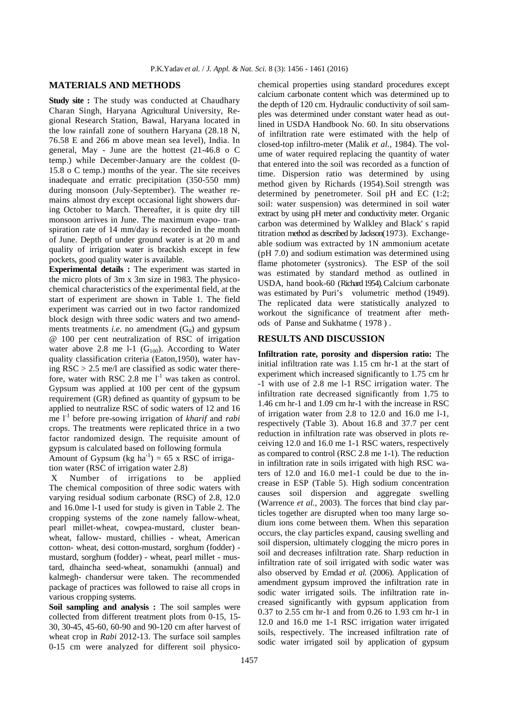## **MATERIALS AND METHODS**

**Study site :** The study was conducted at Chaudhary Charan Singh, Haryana Agricultural University, Regional Research Station, Bawal, Haryana located in the low rainfall zone of southern Haryana (28.18 N, 76.58 E and 266 m above mean sea level), India. In general, May - June are the hottest (21-46.8 o C temp.) while December-January are the coldest (0- 15.8 o C temp.) months of the year. The site receives inadequate and erratic precipitation (350-550 mm) during monsoon (July-September). The weather remains almost dry except occasional light showers during October to March. Thereafter, it is quite dry till monsoon arrives in June. The maximum evapo- transpiration rate of 14 mm/day is recorded in the month of June. Depth of under ground water is at 20 m and quality of irrigation water is brackish except in few pockets, good quality water is available.

**Experimental details :** The experiment was started in the micro plots of 3m x 3m size in 1983. The physicochemical characteristics of the experimental field, at the start of experiment are shown in Table 1. The field experiment was carried out in two factor randomized block design with three sodic waters and two amendments treatments *i.e.* no amendment  $(G_0)$  and gypsum @ 100 per cent neutralization of RSC of irrigation water above 2.8 me l-1  $(G<sub>100</sub>)$ . According to Water quality classification criteria (Eaton,1950), water having  $RSC > 2.5$  me/l are classified as sodic water therefore, water with RSC 2.8 me  $1<sup>-1</sup>$  was taken as control. Gypsum was applied at 100 per cent of the gypsum requirement (GR) defined as quantity of gypsum to be applied to neutralize RSC of sodic waters of 12 and 16 me l-1 before pre-sowing irrigation of *kharif* and *rabi* crops. The treatments were replicated thrice in a two factor randomized design. The requisite amount of gypsum is calculated based on following formula Amount of Gypsum (kg  $ha^{-1}$ ) = 65 x RSC of irrigation water (RSC of irrigation water 2.8)

 X Number of irrigations to be applied The chemical composition of three sodic waters with varying residual sodium carbonate (RSC) of 2.8, 12.0 and 16.0me l-1 used for study is given in Table 2. The cropping systems of the zone namely fallow-wheat, pearl millet-wheat, cowpea-mustard, cluster beanwheat, fallow- mustard, chillies - wheat, American cotton- wheat, desi cotton-mustard, sorghum (fodder) mustard, sorghum (fodder) - wheat, pearl millet - mustard, dhaincha seed-wheat, sonamukhi (annual) and kalmegh- chandersur were taken. The recommended package of practices was followed to raise all crops in various cropping systems.

Soil sampling and analysis : The soil samples were collected from different treatment plots from 0-15, 15- 30, 30-45, 45-60, 60-90 and 90-120 cm after harvest of wheat crop in *Rabi* 2012-13. The surface soil samples 0-15 cm were analyzed for different soil physico-

chemical properties using standard procedures except calcium carbonate content which was determined up to the depth of 120 cm. Hydraulic conductivity of soil samples was determined under constant water head as outlined in USDA Handbook No. 60. In situ observations of infiltration rate were estimated with the help of closed-top infiltro-meter (Malik *et al.,* 1984). The volume of water required replacing the quantity of water that entered into the soil was recorded as a function of time. Dispersion ratio was determined by using method given by Richards (1954).Soil strength was determined by penetrometer. Soil pH and EC (1:2; soil: water suspension) was determined in soil water extract by using pH meter and conductivity meter. Organic carbon was determined by Walkley and Black' s rapid titration method as described by Jackson(1973). Exchangeable sodium was extracted by 1N ammonium acetate (pH 7.0) and sodium estimation was determined using flame photometer (systronics). The ESP of the soil was estimated by standard method as outlined in USDA, hand book-60 (Richard 1954). Calcium carbonate was estimated by Puri's volumetric method (1949). The replicated data were statistically analyzed to workout the significance of treatment after methods of Panse and Sukhatme ( 1978 ) .

## **RESULTS AND DISCUSSION**

**Infiltration rate, porosity and dispersion ratio:** The initial infiltration rate was 1.15 cm hr-1 at the start of experiment which increased significantly to 1.75 cm hr -1 with use of 2.8 me l-1 RSC irrigation water. The infiltration rate decreased significantly from 1.75 to 1.46 cm hr-1 and 1.09 cm hr-1 with the increase in RSC of irrigation water from 2.8 to 12.0 and 16.0 me l-1, respectively (Table 3). About 16.8 and 37.7 per cent reduction in infiltration rate was observed in plots receiving 12.0 and 16.0 me 1-1 RSC waters, respectively as compared to control (RSC 2.8 me 1-1). The reduction in infiltration rate in soils irrigated with high RSC waters of 12.0 and 16.0 me1-1 could be due to the increase in ESP (Table 5). High sodium concentration causes soil dispersion and aggregate swelling (Warrence *et al.*, 2003). The forces that bind clay particles together are disrupted when too many large sodium ions come between them. When this separation occurs, the clay particles expand, causing swelling and soil dispersion, ultimately clogging the micro pores in soil and decreases infiltration rate. Sharp reduction in infiltration rate of soil irrigated with sodic water was also observed by Emdad *et al.* (2006)*.* Application of amendment gypsum improved the infiltration rate in sodic water irrigated soils. The infiltration rate increased significantly with gypsum application from 0.37 to 2.55 cm hr-1 and from 0.26 to 1.93 cm hr-1 in 12.0 and 16.0 me 1-1 RSC irrigation water irrigated soils, respectively. The increased infiltration rate of sodic water irrigated soil by application of gypsum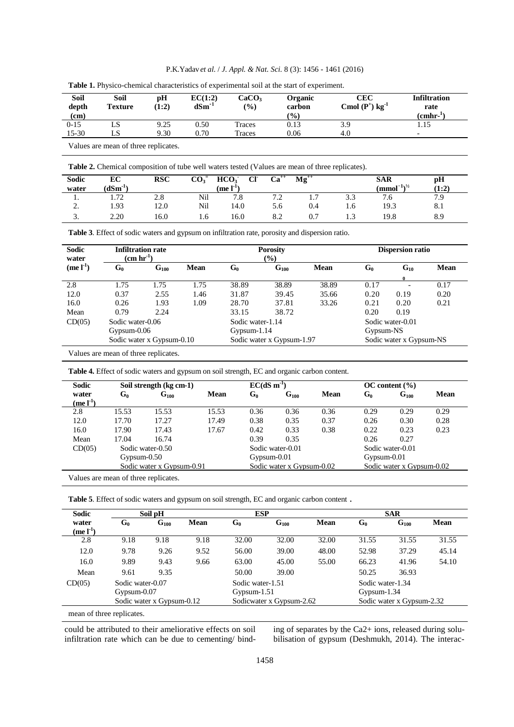| P.K. Yadav et al. / J. Appl. & Nat. Sci. 8 (3): 1456 - 1461 (2016) |  |  |  |  |  |  |  |
|--------------------------------------------------------------------|--|--|--|--|--|--|--|
|--------------------------------------------------------------------|--|--|--|--|--|--|--|

| Soil<br>depth | Soil<br><b>Texture</b> | рH<br>(1:2)   | EC(1:2)<br>$dSm^{-1}$ | CaCO <sub>3</sub><br>$\frac{1}{2}$ | Organic<br>carbon | CEC<br>Cmol $(P^+)$ kg <sup>-1</sup> | <b>Infiltration</b><br>rate |  |
|---------------|------------------------|---------------|-----------------------|------------------------------------|-------------------|--------------------------------------|-----------------------------|--|
| (cm)          |                        |               |                       |                                    | $\frac{1}{2}$     |                                      | (cmhr <sup>1</sup> )        |  |
| $0-15$        | LS                     | 9.25          | 0.50                  | Traces                             | 0.13              | 3.9                                  | 1.15                        |  |
| 15-30         | LS                     | 9.30          | 0.70                  | Traces                             | 0.06              | 4.0                                  | $\overline{\phantom{0}}$    |  |
| $  -$         |                        | $\sim$ $\sim$ |                       |                                    |                   |                                      |                             |  |

| <b>Table 1.</b> Physico-chemical characteristics of experimental soil at the start of experiment. |  |  |
|---------------------------------------------------------------------------------------------------|--|--|
|                                                                                                   |  |  |

Values are mean of three replicates.

|  |  |  | <b>Table 2.</b> Chemical composition of tube well waters tested (Values are mean of three replicates). |
|--|--|--|--------------------------------------------------------------------------------------------------------|
|--|--|--|--------------------------------------------------------------------------------------------------------|

| Sodic         | EC                    | <b>RSC</b> | $\mathbf{CO_3}^=$ | HCO <sub>3</sub><br>CF         | $Ca^{++}$          | $Mg^{++}$ |     | <b>SAR</b>          | pH    |
|---------------|-----------------------|------------|-------------------|--------------------------------|--------------------|-----------|-----|---------------------|-------|
| water         | $(dSm^{-1})$          |            |                   | (me $\mathbf{l}^{\text{-}1}$ ) |                    |           |     | $(mmol^{-1})^{1/2}$ | (1:2) |
| . .           | $\mathcal{L}$<br>1.14 | 2.8        | Nil               | 7.8                            | $\sim$ $\sim$<br>. | <b>1.</b> | 3.3 | ٥. /                | 7.9   |
| $\sim$<br>,., | 1.93                  | 12.0       | Nil               | 14.0                           | 5.6                | 0.4       | 1.6 | 19.3                | 8.1   |
| <u>.</u>      | 2.20                  | 16.0       | 1.0               | 16.0                           | 8.2                | 0.7       |     | 19.8                | 8.9   |

**Table 3**. Effect of sodic waters and gypsum on infiltration rate, porosity and dispersion ratio.

| <b>Sodic</b><br><b>Infiltration rate</b><br>$(\text{cm hr}^{-1})$ |                  |                           |             | Porosity         |                                   |             |           | <b>Dispersion ratio</b> |             |  |  |
|-------------------------------------------------------------------|------------------|---------------------------|-------------|------------------|-----------------------------------|-------------|-----------|-------------------------|-------------|--|--|
| water<br>$(mel^{-1})$                                             | $G_0$            | $G_{100}$                 | <b>Mean</b> | G0               | $\frac{1}{2}$<br>G <sub>100</sub> | <b>Mean</b> | $G_0$     | $G_{10}$                | <b>Mean</b> |  |  |
| 2.8                                                               | 1.75             | 1.75                      | 1.75        | 38.89            | 38.89                             | 38.89       | 0.17      |                         | 0.17        |  |  |
| 12.0                                                              | 0.37             | 2.55                      | 1.46        | 31.87            | 39.45                             | 35.66       | 0.20      | 0.19                    | 0.20        |  |  |
| 16.0                                                              | 0.26             | 1.93                      | 1.09        | 28.70            | 37.81                             | 33.26       | 0.21      | 0.20                    | 0.21        |  |  |
| Mean                                                              | 0.79             | 2.24                      |             | 33.15            | 38.72                             |             | 0.20      | 0.19                    |             |  |  |
| CD(05)                                                            | Sodic water-0.06 |                           |             | Sodic water-1.14 |                                   |             |           | Sodic water-0.01        |             |  |  |
|                                                                   | Gypsum-0.06      |                           |             | $Gypsum-1.14$    |                                   |             | Gypsum-NS |                         |             |  |  |
|                                                                   |                  | Sodic water x Gypsum-0.10 |             |                  | Sodic water x Gypsum-1.97         |             |           | Sodic water x Gypsum-NS |             |  |  |

Values are mean of three replicates.

| Table 4. Effect of sodic waters and gypsum on soil strength, EC and organic carbon content. |  |  |
|---------------------------------------------------------------------------------------------|--|--|
|                                                                                             |  |  |

| Sodic        | Soil strength (kg cm-1) |                           |       |               | $EC(dS \, m^{-1})$        |      |               | $OC$ content $(\% )$      |      |  |
|--------------|-------------------------|---------------------------|-------|---------------|---------------------------|------|---------------|---------------------------|------|--|
| water        | $G_0$                   | $\mathbf{G}_{100}$        | Mean  | $G_0$         | $G_{100}$                 | Mean | G0            | $G_{100}$                 | Mean |  |
| $(mel^{-1})$ |                         |                           |       |               |                           |      |               |                           |      |  |
| 2.8          | 15.53                   | 15.53                     | 15.53 | 0.36          | 0.36                      | 0.36 | 0.29          | 0.29                      | 0.29 |  |
| 12.0         | 17.70                   | 17.27                     | 17.49 | 0.38          | 0.35                      | 0.37 | 0.26          | 0.30                      | 0.28 |  |
| 16.0         | 17.90                   | 17.43                     | 17.67 | 0.42          | 0.33                      | 0.38 | 0.22          | 0.23                      | 0.23 |  |
| Mean         | 17.04                   | 16.74                     |       | 0.39          | 0.35                      |      | 0.26          | 0.27                      |      |  |
| CD(05)       |                         | Sodic water-0.50          |       |               | Sodic water-0.01          |      |               | Sodic water-0.01          |      |  |
|              | $Gypsum-0.50$           |                           |       | $Gypsum-0.01$ |                           |      | $Gypsum-0.01$ |                           |      |  |
|              |                         | Sodic water x Gypsum-0.91 |       |               | Sodic water x Gypsum-0.02 |      |               | Sodic water x Gypsum-0.02 |      |  |

Values are mean of three replicates.

| Sodic        |                   | Soil pH                   |      | <b>ESP</b>       |                          |       |                  | <b>SAR</b>                |       |
|--------------|-------------------|---------------------------|------|------------------|--------------------------|-------|------------------|---------------------------|-------|
| water        | G <sub>0</sub>    | $G_{100}$                 | Mean | G0               | $G_{100}$                | Mean  | $G_0$            | G <sub>100</sub>          | Mean  |
| $(mel^{-1})$ |                   |                           |      |                  |                          |       |                  |                           |       |
| 2.8          | 9.18              | 9.18                      | 9.18 | 32.00            | 32.00                    | 32.00 | 31.55            | 31.55                     | 31.55 |
| 12.0         | 9.78              | 9.26                      | 9.52 | 56.00            | 39.00                    | 48.00 | 52.98            | 37.29                     | 45.14 |
| 16.0         | 9.89              | 9.43                      | 9.66 | 63.00            | 45.00                    | 55.00 | 66.23            | 41.96                     | 54.10 |
| Mean         | 9.61              | 9.35                      |      | 50.00            | 39.00                    |       | 50.25            | 36.93                     |       |
| CD(05)       | Sodic water-0.07  |                           |      | Sodic water-1.51 |                          |       | Sodic water-1.34 |                           |       |
|              | $Gy$ psum $-0.07$ |                           |      | $Gypsum-1.51$    |                          |       | Gypsum- $1.34$   |                           |       |
|              |                   | Sodic water x Gypsum-0.12 |      |                  | Sodicwater x Gypsum-2.62 |       |                  | Sodic water x Gypsum-2.32 |       |

mean of three replicates.

could be attributed to their ameliorative effects on soil infiltration rate which can be due to cementing/ binding of separates by the Ca2+ ions, released during solubilisation of gypsum (Deshmukh, 2014). The interac-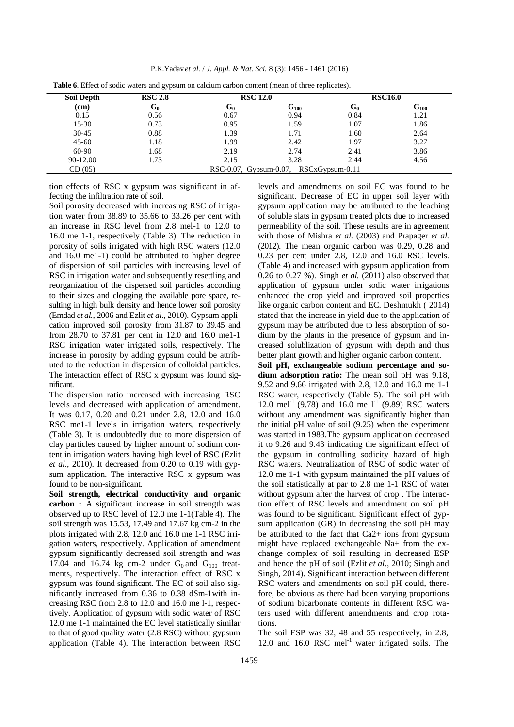| P.K.Yadav et al. / J. Appl. & Nat. Sci. 8 (3): 1456 - 1461 (2016) |  |  |  |
|-------------------------------------------------------------------|--|--|--|
|-------------------------------------------------------------------|--|--|--|

| <b>Soil Depth</b> | <b>RSC 2.8</b> | <b>RSC 12.0</b> |                                             | <b>RSC16.0</b> |           |  |
|-------------------|----------------|-----------------|---------------------------------------------|----------------|-----------|--|
| (cm)              | Մը             | υ۵              | G100                                        | տ              | $G_{100}$ |  |
| 0.15              | 0.56           | 0.67            | 0.94                                        | 0.84           | 1.21      |  |
| 15-30             | 0.73           | 0.95            | 1.59                                        | 1.07           | 1.86      |  |
| $30-45$           | 0.88           | 1.39            | 1.71                                        | 1.60           | 2.64      |  |
| $45 - 60$         | 1.18           | 1.99            | 2.42                                        | 1.97           | 3.27      |  |
| 60-90             | 1.68           | 2.19            | 2.74                                        | 2.41           | 3.86      |  |
| 90-12.00          | 1.73           | 2.15            | 3.28                                        | 2.44           | 4.56      |  |
| CD(05)            |                |                 | $RSC-0.07$ , Gypsum-0.07, $RSCxGypsum-0.11$ |                |           |  |

**Table 6**. Effect of sodic waters and gypsum on calcium carbon content (mean of three replicates).

tion effects of RSC x gypsum was significant in affecting the infiltration rate of soil.

Soil porosity decreased with increasing RSC of irrigation water from 38.89 to 35.66 to 33.26 per cent with an increase in RSC level from 2.8 mel-1 to 12.0 to 16.0 me 1-1, respectively (Table 3). The reduction in porosity of soils irrigated with high RSC waters (12.0 and 16.0 me1-1) could be attributed to higher degree of dispersion of soil particles with increasing level of RSC in irrigation water and subsequently resettling and reorganization of the dispersed soil particles according to their sizes and clogging the available pore space, resulting in high bulk density and hence lower soil porosity (Emdad *et al.*, 2006 and Ezlit *et al*., 2010). Gypsum application improved soil porosity from 31.87 to 39.45 and from 28.70 to 37.81 per cent in 12.0 and 16.0 me1-1 RSC irrigation water irrigated soils, respectively. The increase in porosity by adding gypsum could be attributed to the reduction in dispersion of colloidal particles. The interaction effect of RSC x gypsum was found significant.

The dispersion ratio increased with increasing RSC levels and decreased with application of amendment. It was 0.17, 0.20 and 0.21 under 2.8, 12.0 and 16.0 RSC me1-1 levels in irrigation waters, respectively (Table 3). It is undoubtedly due to more dispersion of clay particles caused by higher amount of sodium content in irrigation waters having high level of RSC (Ezlit *et al*., 2010). It decreased from 0.20 to 0.19 with gypsum application. The interactive RSC x gypsum was found to be non-significant.

**Soil strength, electrical conductivity and organic carbon :** A significant increase in soil strength was observed up to RSC level of 12.0 me 1-1(Table 4). The soil strength was 15.53, 17.49 and 17.67 kg cm-2 in the plots irrigated with 2.8, 12.0 and 16.0 me 1-1 RSC irrigation waters, respectively. Application of amendment gypsum significantly decreased soil strength and was 17.04 and 16.74 kg cm-2 under  $G_0$  and  $G_{100}$  treatments, respectively. The interaction effect of RSC x gypsum was found significant. The EC of soil also significantly increased from 0.36 to 0.38 dSm-1with increasing RSC from 2.8 to 12.0 and 16.0 me l-1, respectively. Application of gypsum with sodic water of RSC 12.0 me 1-1 maintained the EC level statistically similar to that of good quality water (2.8 RSC) without gypsum application (Table 4). The interaction between RSC

levels and amendments on soil EC was found to be significant. Decrease of EC in upper soil layer with gypsum application may be attributed to the leaching of soluble slats in gypsum treated plots due to increased permeability of the soil. These results are in agreement with those of Mishra *et al.* (2003) and Prapager *et al.*  (2012). The mean organic carbon was 0.29, 0.28 and 0.23 per cent under 2.8, 12.0 and 16.0 RSC levels. (Table 4) and increased with gypsum application from 0.26 to 0.27 %). Singh *et al.* (2011) also observed that application of gypsum under sodic water irrigations enhanced the crop yield and improved soil properties like organic carbon content and EC. Deshmukh ( 2014) stated that the increase in yield due to the application of gypsum may be attributed due to less absorption of sodium by the plants in the presence of gypsum and increased solublization of gypsum with depth and thus better plant growth and higher organic carbon content.

**Soil pH, exchangeable sodium percentage and sodium adsorption ratio:** The mean soil pH was 9.18, 9.52 and 9.66 irrigated with 2.8, 12.0 and 16.0 me 1-1 RSC water, respectively (Table 5). The soil pH with 12.0 mel<sup>-1</sup> (9.78) and 16.0 me  $1^{-1}$  (9.89) RSC waters without any amendment was significantly higher than the initial pH value of soil (9.25) when the experiment was started in 1983.The gypsum application decreased it to 9.26 and 9.43 indicating the significant effect of the gypsum in controlling sodicity hazard of high RSC waters. Neutralization of RSC of sodic water of 12.0 me 1-1 with gypsum maintained the pH values of the soil statistically at par to 2.8 me 1-1 RSC of water without gypsum after the harvest of crop . The interaction effect of RSC levels and amendment on soil pH was found to be significant. Significant effect of gypsum application (GR) in decreasing the soil pH may be attributed to the fact that Ca2+ ions from gypsum might have replaced exchangeable Na+ from the exchange complex of soil resulting in decreased ESP and hence the pH of soil (Ezlit *et al*., 2010; Singh and Singh, 2014). Significant interaction between different RSC waters and amendments on soil pH could, therefore, be obvious as there had been varying proportions of sodium bicarbonate contents in different RSC waters used with different amendments and crop rotations.

The soil ESP was 32, 48 and 55 respectively, in 2.8, 12.0 and 16.0 RSC mel<sup>-1</sup> water irrigated soils. The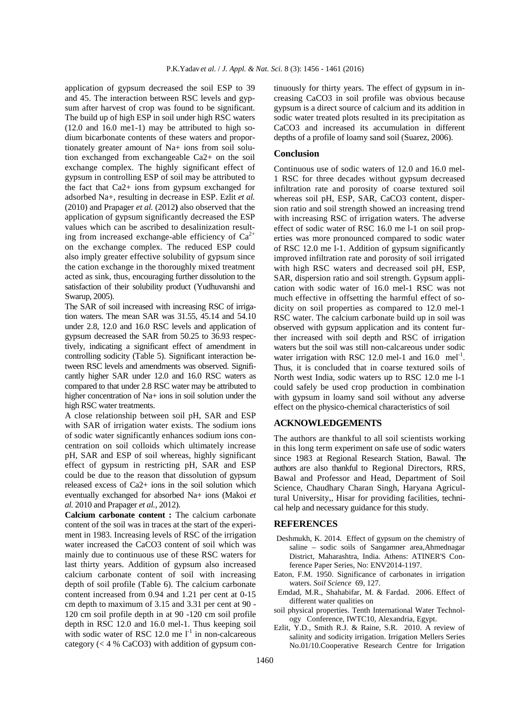application of gypsum decreased the soil ESP to 39 and 45. The interaction between RSC levels and gypsum after harvest of crop was found to be significant. The build up of high ESP in soil under high RSC waters (12.0 and 16.0 me1-1) may be attributed to high sodium bicarbonate contents of these waters and proportionately greater amount of Na+ ions from soil solution exchanged from exchangeable Ca2+ on the soil exchange complex. The highly significant effect of gypsum in controlling ESP of soil may be attributed to the fact that Ca2+ ions from gypsum exchanged for adsorbed Na+, resulting in decrease in ESP. Ezlit *et al.*  (2010) and Prapager *et al.* (2012**)** also observed that the application of gypsum significantly decreased the ESP values which can be ascribed to desalinization resulting from increased exchange-able efficiency of  $Ca^{2+}$ on the exchange complex. The reduced ESP could also imply greater effective solubility of gypsum since the cation exchange in the thoroughly mixed treatment acted as sink, thus, encouraging further dissolution to the satisfaction of their solubility product (Yudhuvanshi and Swarup, 2005).

The SAR of soil increased with increasing RSC of irrigation waters. The mean SAR was 31.55, 45.14 and 54.10 under 2.8, 12.0 and 16.0 RSC levels and application of gypsum decreased the SAR from 50.25 to 36.93 respectively, indicating a significant effect of amendment in controlling sodicity (Table 5). Significant interaction between RSC levels and amendments was observed. Significantly higher SAR under 12.0 and 16.0 RSC waters as compared to that under 2.8 RSC water may be attributed to higher concentration of Na+ ions in soil solution under the high RSC water treatments.

A close relationship between soil pH, SAR and ESP with SAR of irrigation water exists. The sodium ions of sodic water significantly enhances sodium ions concentration on soil colloids which ultimately increase pH, SAR and ESP of soil whereas, highly significant effect of gypsum in restricting pH, SAR and ESP could be due to the reason that dissolution of gypsum released excess of Ca2+ ions in the soil solution which eventually exchanged for absorbed Na+ ions (Makoi *et al.* 2010 and Prapager *et al.*, 2012).

**Calcium carbonate content :** The calcium carbonate content of the soil was in traces at the start of the experiment in 1983. Increasing levels of RSC of the irrigation water increased the CaCO3 content of soil which was mainly due to continuous use of these RSC waters for last thirty years. Addition of gypsum also increased calcium carbonate content of soil with increasing depth of soil profile (Table 6). The calcium carbonate content increased from 0.94 and 1.21 per cent at 0-15 cm depth to maximum of 3.15 and 3.31 per cent at 90 - 120 cm soil profile depth in at 90 -120 cm soil profile depth in RSC 12.0 and 16.0 mel-1. Thus keeping soil with sodic water of RSC 12.0 me  $1^{-1}$  in non-calcareous category  $(< 4 % CaCO3$ ) with addition of gypsum continuously for thirty years. The effect of gypsum in increasing CaCO3 in soil profile was obvious because gypsum is a direct source of calcium and its addition in sodic water treated plots resulted in its precipitation as CaCO3 and increased its accumulation in different depths of a profile of loamy sand soil (Suarez, 2006).

#### **Conclusion**

Continuous use of sodic waters of 12.0 and 16.0 mel-1 RSC for three decades without gypsum decreased infiltration rate and porosity of coarse textured soil whereas soil pH, ESP, SAR, CaCO3 content, dispersion ratio and soil strength showed an increasing trend with increasing RSC of irrigation waters. The adverse effect of sodic water of RSC 16.0 me l-1 on soil properties was more pronounced compared to sodic water of RSC 12.0 me l-1. Addition of gypsum significantly improved infiltration rate and porosity of soil irrigated with high RSC waters and decreased soil pH, ESP, SAR, dispersion ratio and soil strength. Gypsum application with sodic water of 16.0 mel-1 RSC was not much effective in offsetting the harmful effect of sodicity on soil properties as compared to 12.0 mel-1 RSC water. The calcium carbonate build up in soil was observed with gypsum application and its content further increased with soil depth and RSC of irrigation waters but the soil was still non-calcareous under sodic water irrigation with RSC 12.0 mel-1 and  $16.0$  mel<sup>-1</sup>. Thus, it is concluded that in coarse textured soils of North west India, sodic waters up to RSC 12.0 me l-1 could safely be used crop production in combination with gypsum in loamy sand soil without any adverse effect on the physico-chemical characteristics of soil

#### **ACKNOWLEDGEMENTS**

The authors are thankful to all soil scientists working in this long term experiment on safe use of sodic waters since 1983 at Regional Research Station, Bawal. The authors are also thankful to Regional Directors, RRS, Bawal and Professor and Head, Department of Soil Science, Chaudhary Charan Singh, Haryana Agricultural University,, Hisar for providing facilities, technical help and necessary guidance for this study.

#### **REFERENCES**

- Deshmukh, K. 2014. Effect of gypsum on the chemistry of saline – sodic soils of Sangamner area,Ahmednagar District, Maharashtra, India. Athens: ATINER'S Conference Paper Series, No: ENV2014-1197.
- Eaton, F.M. 1950. Significance of carbonates in irrigation waters. *Soil Science* 69, 127.
- Emdad, M.R., Shahabifar, M. & Fardad. 2006. Effect of different water qualities on
- soil physical properties. Tenth International Water Technology Conference, IWTC10, Alexandria, Egypt.
- Ezlit, Y.D., Smith R.J. & Raine, S.R. 2010. A review of salinity and sodicity irrigation. Irrigation Mellers Series No.01/10.Cooperative Research Centre for Irrigation